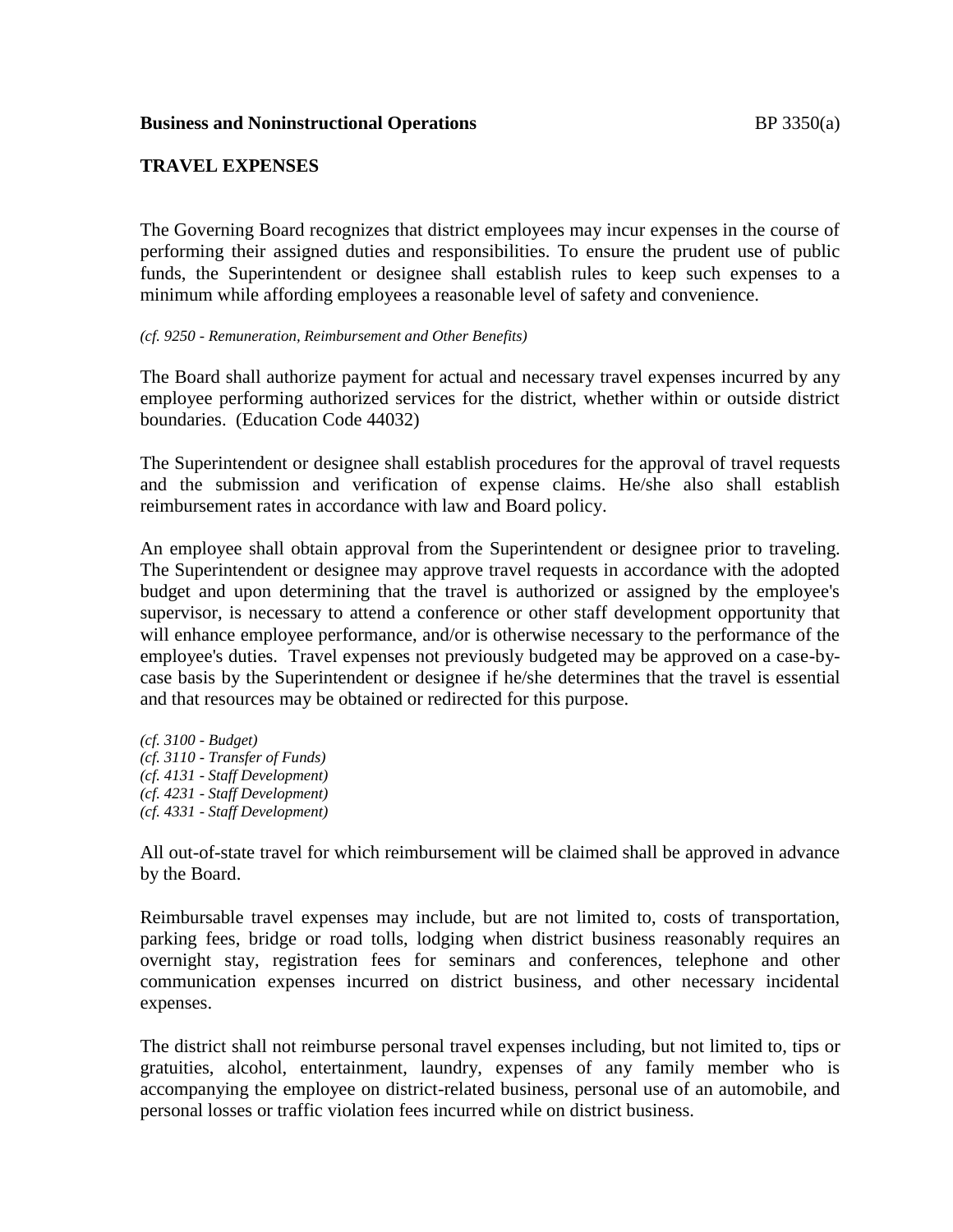### **Business and Noninstructional Operations BP** 3350(a)

## **TRAVEL EXPENSES**

The Governing Board recognizes that district employees may incur expenses in the course of performing their assigned duties and responsibilities. To ensure the prudent use of public funds, the Superintendent or designee shall establish rules to keep such expenses to a minimum while affording employees a reasonable level of safety and convenience.

#### *(cf. 9250 - Remuneration, Reimbursement and Other Benefits)*

The Board shall authorize payment for actual and necessary travel expenses incurred by any employee performing authorized services for the district, whether within or outside district boundaries. (Education Code 44032)

The Superintendent or designee shall establish procedures for the approval of travel requests and the submission and verification of expense claims. He/she also shall establish reimbursement rates in accordance with law and Board policy.

An employee shall obtain approval from the Superintendent or designee prior to traveling. The Superintendent or designee may approve travel requests in accordance with the adopted budget and upon determining that the travel is authorized or assigned by the employee's supervisor, is necessary to attend a conference or other staff development opportunity that will enhance employee performance, and/or is otherwise necessary to the performance of the employee's duties. Travel expenses not previously budgeted may be approved on a case-bycase basis by the Superintendent or designee if he/she determines that the travel is essential and that resources may be obtained or redirected for this purpose.

*(cf. 3100 - Budget) (cf. 3110 - Transfer of Funds) (cf. 4131 - Staff Development) (cf. 4231 - Staff Development) (cf. 4331 - Staff Development)*

All out-of-state travel for which reimbursement will be claimed shall be approved in advance by the Board.

Reimbursable travel expenses may include, but are not limited to, costs of transportation, parking fees, bridge or road tolls, lodging when district business reasonably requires an overnight stay, registration fees for seminars and conferences, telephone and other communication expenses incurred on district business, and other necessary incidental expenses.

The district shall not reimburse personal travel expenses including, but not limited to, tips or gratuities, alcohol, entertainment, laundry, expenses of any family member who is accompanying the employee on district-related business, personal use of an automobile, and personal losses or traffic violation fees incurred while on district business.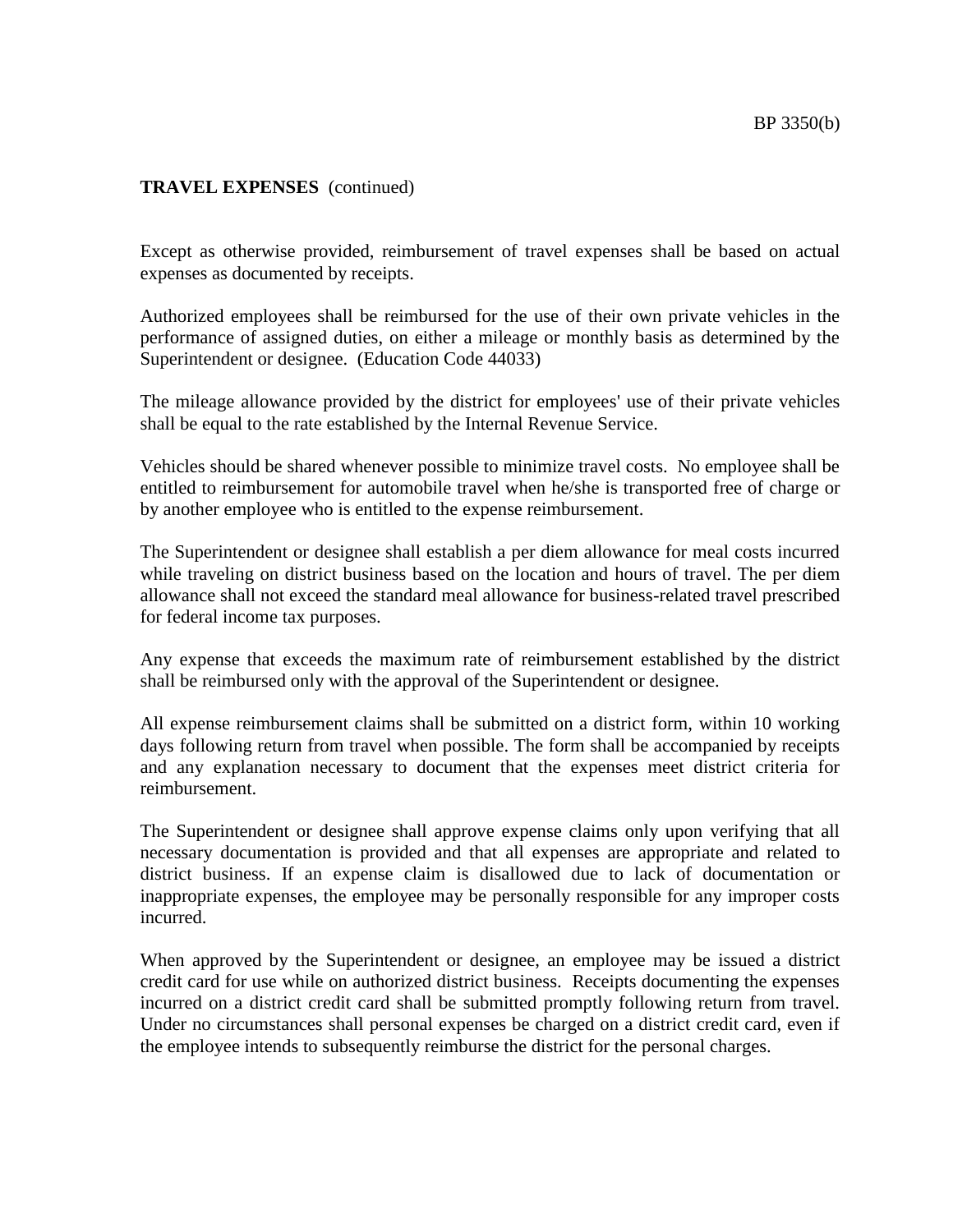# **TRAVEL EXPENSES** (continued)

Except as otherwise provided, reimbursement of travel expenses shall be based on actual expenses as documented by receipts.

Authorized employees shall be reimbursed for the use of their own private vehicles in the performance of assigned duties, on either a mileage or monthly basis as determined by the Superintendent or designee. (Education Code 44033)

The mileage allowance provided by the district for employees' use of their private vehicles shall be equal to the rate established by the Internal Revenue Service.

Vehicles should be shared whenever possible to minimize travel costs. No employee shall be entitled to reimbursement for automobile travel when he/she is transported free of charge or by another employee who is entitled to the expense reimbursement.

The Superintendent or designee shall establish a per diem allowance for meal costs incurred while traveling on district business based on the location and hours of travel. The per diem allowance shall not exceed the standard meal allowance for business-related travel prescribed for federal income tax purposes.

Any expense that exceeds the maximum rate of reimbursement established by the district shall be reimbursed only with the approval of the Superintendent or designee.

All expense reimbursement claims shall be submitted on a district form, within 10 working days following return from travel when possible. The form shall be accompanied by receipts and any explanation necessary to document that the expenses meet district criteria for reimbursement.

The Superintendent or designee shall approve expense claims only upon verifying that all necessary documentation is provided and that all expenses are appropriate and related to district business. If an expense claim is disallowed due to lack of documentation or inappropriate expenses, the employee may be personally responsible for any improper costs incurred.

When approved by the Superintendent or designee, an employee may be issued a district credit card for use while on authorized district business. Receipts documenting the expenses incurred on a district credit card shall be submitted promptly following return from travel. Under no circumstances shall personal expenses be charged on a district credit card, even if the employee intends to subsequently reimburse the district for the personal charges.